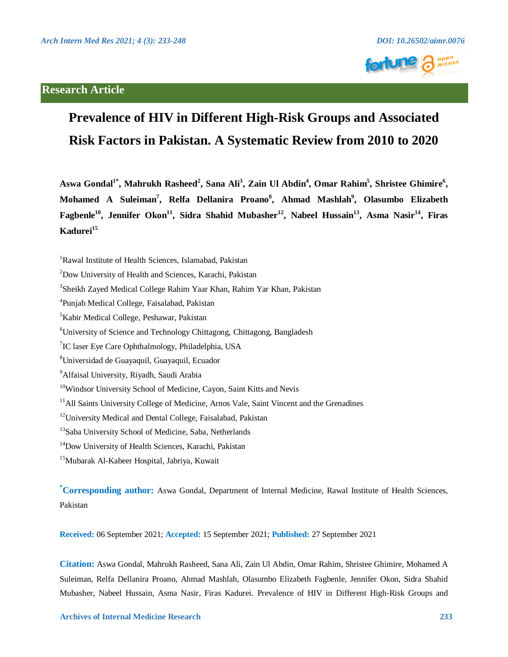



# **Prevalence of HIV in Different High-Risk Groups and Associated Risk Factors in Pakistan. A Systematic Review from 2010 to 2020**

Aswa Gondal<sup>1\*</sup>, Mahrukh Rasheed<sup>2</sup>, Sana Ali<sup>3</sup>, Zain Ul Abdin<sup>4</sup>, Omar Rahim<sup>5</sup>, Shristee Ghimire<sup>6</sup>, Mohamed A Suleiman<sup>7</sup>, Relfa Dellanira Proano<sup>8</sup>, Ahmad Mashlah<sup>9</sup>, Olasumbo Elizabeth Fagbenle<sup>10</sup>, Jennifer Okon<sup>11</sup>, Sidra Shahid Mubasher<sup>12</sup>, Nabeel Hussain<sup>13</sup>, Asma Nasir<sup>14</sup>, Firas Kadurei<sup>15</sup>

**\* Corresponding author:** Aswa Gondal, Department of Internal Medicine, Rawal Institute of Health Sciences, Pakistan

**Received:** 06 September 2021; **Accepted:** 15 September 2021; **Published:** 27 September 2021

**Citation:** Aswa Gondal, Mahrukh Rasheed, Sana Ali, Zain Ul Abdin, Omar Rahim, Shristee Ghimire, Mohamed A Suleiman, Relfa Dellanira Proano, Ahmad Mashlah, Olasumbo Elizabeth Fagbenle, Jennifer Okon, Sidra Shahid Mubasher, Nabeel Hussain, Asma Nasir, Firas Kadurei. Prevalence of HIV in Different High-Risk Groups and

<sup>&</sup>lt;sup>1</sup>Rawal Institute of Health Sciences, Islamabad, Pakistan

<sup>2</sup> Dow University of Health and Sciences, Karachi, Pakistan

<sup>3</sup> Sheikh Zayed Medical College Rahim Yaar Khan, Rahim Yar Khan, Pakistan

<sup>4</sup> Punjab Medical College, Faisalabad, Pakistan

<sup>5</sup> Kabir Medical College, Peshawar, Pakistan

<sup>6</sup> University of Science and Technology Chittagong, Chittagong, Bangladesh

<sup>&</sup>lt;sup>7</sup>IC laser Eye Care Ophthalmology, Philadelphia, USA

<sup>8</sup> Universidad de Guayaquil, Guayaquil, Ecuador

<sup>&</sup>lt;sup>9</sup> Alfaisal University, Riyadh, Saudi Arabia

<sup>&</sup>lt;sup>10</sup>Windsor University School of Medicine, Cayon, Saint Kitts and Nevis

<sup>&</sup>lt;sup>11</sup>All Saints University College of Medicine, Arnos Vale, Saint Vincent and the Grenadines

<sup>&</sup>lt;sup>12</sup>University Medical and Dental College, Faisalabad, Pakistan

<sup>&</sup>lt;sup>13</sup>Saba University School of Medicine, Saba, Netherlands

<sup>&</sup>lt;sup>14</sup>Dow University of Health Sciences, Karachi, Pakistan

<sup>&</sup>lt;sup>15</sup>Mubarak Al-Kabeer Hospital, Jabriya, Kuwait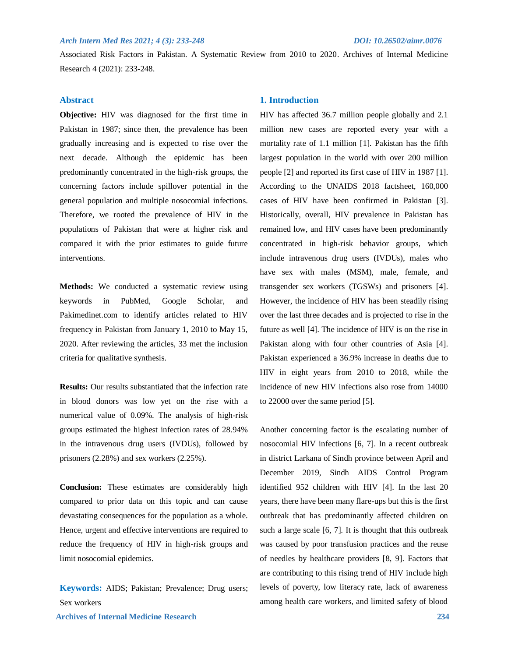Associated Risk Factors in Pakistan. A Systematic Review from 2010 to 2020. Archives of Internal Medicine Research 4 (2021): 233-248.

# **Abstract**

**Objective:** HIV was diagnosed for the first time in Pakistan in 1987; since then, the prevalence has been gradually increasing and is expected to rise over the next decade. Although the epidemic has been predominantly concentrated in the high-risk groups, the concerning factors include spillover potential in the general population and multiple nosocomial infections. Therefore, we rooted the prevalence of HIV in the populations of Pakistan that were at higher risk and compared it with the prior estimates to guide future interventions.

**Methods:** We conducted a systematic review using keywords in PubMed, Google Scholar, and Pakimedinet.com to identify articles related to HIV frequency in Pakistan from January 1, 2010 to May 15, 2020. After reviewing the articles, 33 met the inclusion criteria for qualitative synthesis.

**Results:** Our results substantiated that the infection rate in blood donors was low yet on the rise with a numerical value of 0.09%. The analysis of high-risk groups estimated the highest infection rates of 28.94% in the intravenous drug users (IVDUs), followed by prisoners (2.28%) and sex workers (2.25%).

**Conclusion:** These estimates are considerably high compared to prior data on this topic and can cause devastating consequences for the population as a whole. Hence, urgent and effective interventions are required to reduce the frequency of HIV in high-risk groups and limit nosocomial epidemics.

 **Archives of Internal Medicine Research 234 Keywords:** AIDS; Pakistan; Prevalence; Drug users; Sex workers

# **1. Introduction**

HIV has affected 36.7 million people globally and 2.1 million new cases are reported every year with a mortality rate of 1.1 million [1]. Pakistan has the fifth largest population in the world with over 200 million people [2] and reported its first case of HIV in 1987 [1]. According to the UNAIDS 2018 factsheet, 160,000 cases of HIV have been confirmed in Pakistan [3]. Historically, overall, HIV prevalence in Pakistan has remained low, and HIV cases have been predominantly concentrated in high-risk behavior groups, which include intravenous drug users (IVDUs), males who have sex with males (MSM), male, female, and transgender sex workers (TGSWs) and prisoners [4]. However, the incidence of HIV has been steadily rising over the last three decades and is projected to rise in the future as well [4]. The incidence of HIV is on the rise in Pakistan along with four other countries of Asia [4]. Pakistan experienced a 36.9% increase in deaths due to HIV in eight years from 2010 to 2018, while the incidence of new HIV infections also rose from 14000 to 22000 over the same period [5].

Another concerning factor is the escalating number of nosocomial HIV infections [6, 7]. In a recent outbreak in district Larkana of Sindh province between April and December 2019, Sindh AIDS Control Program identified 952 children with HIV [4]. In the last 20 years, there have been many flare-ups but this is the first outbreak that has predominantly affected children on such a large scale [6, 7]. It is thought that this outbreak was caused by poor transfusion practices and the reuse of needles by healthcare providers [8, 9]. Factors that are contributing to this rising trend of HIV include high levels of poverty, low literacy rate, lack of awareness among health care workers, and limited safety of blood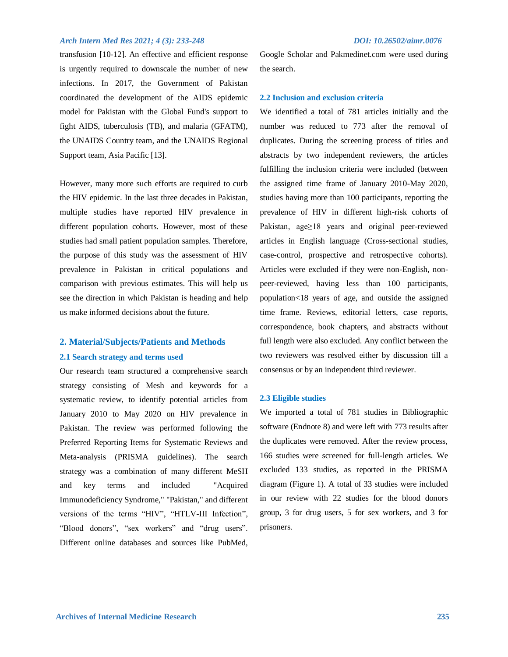transfusion [10-12]. An effective and efficient response is urgently required to downscale the number of new infections. In 2017, the Government of Pakistan coordinated the development of the AIDS epidemic model for Pakistan with the Global Fund's support to fight AIDS, tuberculosis (TB), and malaria (GFATM), the UNAIDS Country team, and the UNAIDS Regional Support team, Asia Pacific [13].

However, many more such efforts are required to curb the HIV epidemic. In the last three decades in Pakistan, multiple studies have reported HIV prevalence in different population cohorts. However, most of these studies had small patient population samples. Therefore, the purpose of this study was the assessment of HIV prevalence in Pakistan in critical populations and comparison with previous estimates. This will help us see the direction in which Pakistan is heading and help us make informed decisions about the future.

# **2. Material/Subjects/Patients and Methods 2.1 Search strategy and terms used**

Our research team structured a comprehensive search strategy consisting of Mesh and keywords for a systematic review, to identify potential articles from January 2010 to May 2020 on HIV prevalence in Pakistan. The review was performed following the Preferred Reporting Items for Systematic Reviews and Meta-analysis (PRISMA guidelines). The search strategy was a combination of many different MeSH and key terms and included "Acquired Immunodeficiency Syndrome," "Pakistan," and different versions of the terms "HIV", "HTLV-III Infection", "Blood donors", "sex workers" and "drug users". Different online databases and sources like PubMed,

Google Scholar and Pakmedinet.com were used during the search.

### **2.2 Inclusion and exclusion criteria**

We identified a total of 781 articles initially and the number was reduced to 773 after the removal of duplicates. During the screening process of titles and abstracts by two independent reviewers, the articles fulfilling the inclusion criteria were included (between the assigned time frame of January 2010-May 2020, studies having more than 100 participants, reporting the prevalence of HIV in different high-risk cohorts of Pakistan, age≥18 years and original peer-reviewed articles in English language (Cross-sectional studies, case-control, prospective and retrospective cohorts). Articles were excluded if they were non-English, nonpeer-reviewed, having less than 100 participants, population<18 years of age, and outside the assigned time frame. Reviews, editorial letters, case reports, correspondence, book chapters, and abstracts without full length were also excluded. Any conflict between the two reviewers was resolved either by discussion till a consensus or by an independent third reviewer.

### **2.3 Eligible studies**

We imported a total of 781 studies in Bibliographic software (Endnote 8) and were left with 773 results after the duplicates were removed. After the review process, 166 studies were screened for full-length articles. We excluded 133 studies, as reported in the PRISMA diagram (Figure 1). A total of 33 studies were included in our review with 22 studies for the blood donors group, 3 for drug users, 5 for sex workers, and 3 for prisoners.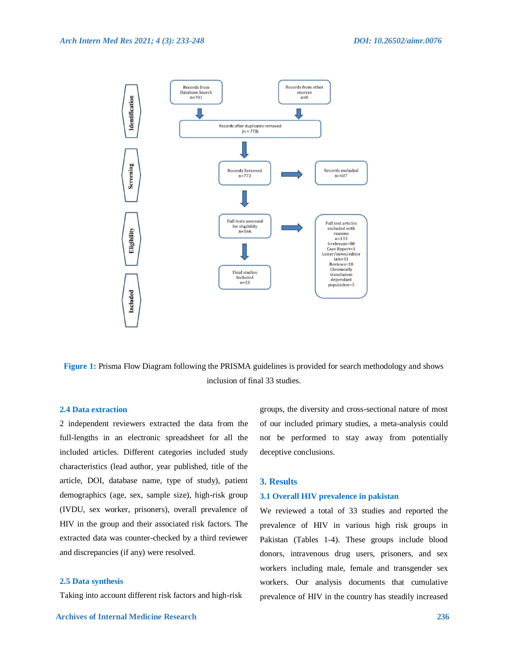

**Figure 1:** Prisma Flow Diagram following the PRISMA guidelines is provided for search methodology and shows inclusion of final 33 studies.

# **2.4 Data extraction**

2 independent reviewers extracted the data from the full-lengths in an electronic spreadsheet for all the included articles. Different categories included study characteristics (lead author, year published, title of the article, DOI, database name, type of study), patient demographics (age, sex, sample size), high-risk group (IVDU, sex worker, prisoners), overall prevalence of HIV in the group and their associated risk factors. The extracted data was counter-checked by a third reviewer and discrepancies (if any) were resolved.

### **2.5 Data synthesis**

Taking into account different risk factors and high-risk

groups, the diversity and cross-sectional nature of most of our included primary studies, a meta-analysis could not be performed to stay away from potentially deceptive conclusions.

# **3. Results**

### **3.1 Overall HIV prevalence in pakistan**

We reviewed a total of 33 studies and reported the prevalence of HIV in various high risk groups in Pakistan (Tables 1-4). These groups include blood donors, intravenous drug users, prisoners, and sex workers including male, female and transgender sex workers. Our analysis documents that cumulative prevalence of HIV in the country has steadily increased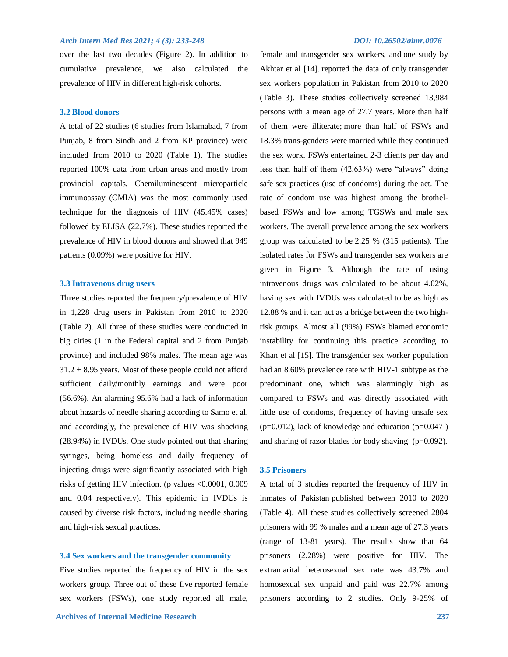over the last two decades (Figure 2). In addition to cumulative prevalence, we also calculated the prevalence of HIV in different high-risk cohorts.

### **3.2 Blood donors**

A total of 22 studies (6 studies from Islamabad, 7 from Punjab, 8 from Sindh and 2 from KP province) were included from 2010 to 2020 (Table 1). The studies reported 100% data from urban areas and mostly from provincial capitals. Chemiluminescent microparticle immunoassay (CMIA) was the most commonly used technique for the diagnosis of HIV (45.45% cases) followed by ELISA (22.7%). These studies reported the prevalence of HIV in blood donors and showed that 949 patients (0.09%) were positive for HIV.

# **3.3 Intravenous drug users**

Three studies reported the frequency/prevalence of HIV in 1,228 drug users in Pakistan from 2010 to 2020 (Table 2). All three of these studies were conducted in big cities (1 in the Federal capital and 2 from Punjab province) and included 98% males. The mean age was  $31.2 \pm 8.95$  years. Most of these people could not afford sufficient daily/monthly earnings and were poor (56.6%). An alarming 95.6% had a lack of information about hazards of needle sharing according to Samo et al. and accordingly, the prevalence of HIV was shocking (28.94%) in IVDUs. One study pointed out that sharing syringes, being homeless and daily frequency of injecting drugs were significantly associated with high risks of getting HIV infection. (p values <0.0001, 0.009 and 0.04 respectively). This epidemic in IVDUs is caused by diverse risk factors, including needle sharing and high-risk sexual practices.

### **3.4 Sex workers and the transgender community**

Five studies reported the frequency of HIV in the sex workers group. Three out of these five reported female sex workers (FSWs), one study reported all male,

female and transgender sex workers, and one study by Akhtar et al [14]. reported the data of only transgender sex workers population in Pakistan from 2010 to 2020 (Table 3). These studies collectively screened 13,984 persons with a mean age of 27.7 years. More than half of them were illiterate; more than half of FSWs and 18.3% trans-genders were married while they continued the sex work. FSWs entertained 2-3 clients per day and less than half of them (42.63%) were "always" doing safe sex practices (use of condoms) during the act. The rate of condom use was highest among the brothelbased FSWs and low among TGSWs and male sex workers. The overall prevalence among the sex workers group was calculated to be 2.25 % (315 patients). The isolated rates for FSWs and transgender sex workers are given in Figure 3. Although the rate of using intravenous drugs was calculated to be about 4.02%, having sex with IVDUs was calculated to be as high as 12.88 % and it can act as a bridge between the two highrisk groups. Almost all (99%) FSWs blamed economic instability for continuing this practice according to Khan et al [15]. The transgender sex worker population had an 8.60% prevalence rate with HIV-1 subtype as the predominant one, which was alarmingly high as compared to FSWs and was directly associated with little use of condoms, frequency of having unsafe sex  $(p=0.012)$ , lack of knowledge and education  $(p=0.047)$ and sharing of razor blades for body shaving (p=0.092).

### **3.5 Prisoners**

A total of 3 studies reported the frequency of HIV in inmates of Pakistan published between 2010 to 2020 (Table 4). All these studies collectively screened 2804 prisoners with 99 % males and a mean age of 27.3 years (range of 13-81 years). The results show that 64 prisoners (2.28%) were positive for HIV. The extramarital heterosexual sex rate was 43.7% and homosexual sex unpaid and paid was 22.7% among prisoners according to 2 studies. Only 9-25% of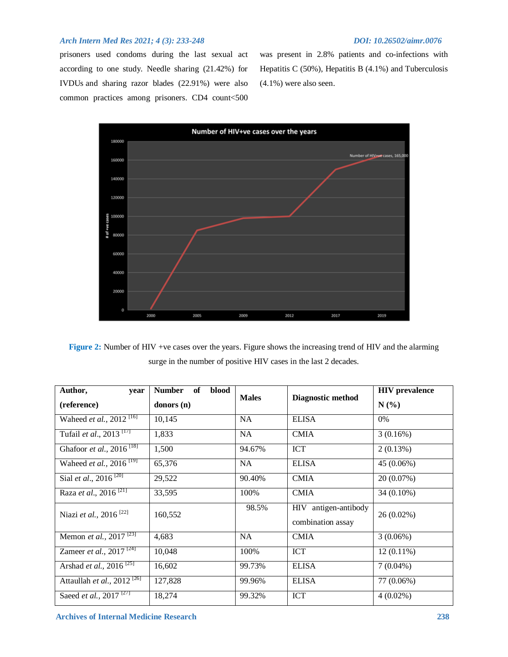prisoners used condoms during the last sexual act according to one study. Needle sharing (21.42%) for IVDUs and sharing razor blades (22.91%) were also common practices among prisoners. CD4 count<500 was present in 2.8% patients and co-infections with Hepatitis C (50%), Hepatitis B (4.1%) and Tuberculosis (4.1%) were also seen.



**Figure 2:** Number of HIV +ve cases over the years. Figure shows the increasing trend of HIV and the alarming surge in the number of positive HIV cases in the last 2 decades.

| Author,<br>year<br>(reference)              | <b>Number</b><br>blood<br>of<br>donors (n) | <b>Males</b> | Diagnostic method                         | <b>HIV</b> prevalence<br>N(%) |
|---------------------------------------------|--------------------------------------------|--------------|-------------------------------------------|-------------------------------|
| Waheed et al., $2012$ <sup>[16]</sup>       | 10,145                                     | <b>NA</b>    | <b>ELISA</b>                              | $0\%$                         |
| Tufail et al., $2013$ <sup>[17]</sup>       | 1,833                                      | <b>NA</b>    | <b>CMIA</b>                               | 3(0.16%)                      |
| Ghafoor et al., $2016^{[18]}$               | 1,500                                      | 94.67%       | <b>ICT</b>                                | 2(0.13%)                      |
| Waheed <i>et al.</i> , 2016 <sup>[19]</sup> | 65,376                                     | <b>NA</b>    | <b>ELISA</b>                              | 45 (0.06%)                    |
| Sial <i>et al.</i> , 2016 <sup>[20]</sup>   | 29,522                                     | 90.40%       | <b>CMIA</b>                               | 20 (0.07%)                    |
| Raza et al., 2016 <sup>[21]</sup>           | 33,595                                     | 100%         | <b>CMIA</b>                               | 34 (0.10%)                    |
| Niazi et al., 2016 <sup>[22]</sup>          | 160,552                                    | 98.5%        | HIV antigen-antibody<br>combination assay | $26(0.02\%)$                  |
| Memon <i>et al.</i> , 2017 <sup>[23]</sup>  | 4,683                                      | <b>NA</b>    | <b>CMIA</b>                               | $3(0.06\%)$                   |
| Zameer <i>et al.</i> , $2017^{124}$         | 10,048                                     | 100%         | <b>ICT</b>                                | $12(0.11\%)$                  |
| Arshad <i>et al.</i> , 2016 <sup>[25]</sup> | 16,602                                     | 99.73%       | <b>ELISA</b>                              | $7(0.04\%)$                   |
| Attaullah et al., 2012 <sup>[26]</sup>      | 127,828                                    | 99.96%       | <b>ELISA</b>                              | 77 (0.06%)                    |
| Saeed et al., 2017 <sup>[27]</sup>          | 18,274                                     | 99.32%       | <b>ICT</b>                                | $4(0.02\%)$                   |

 **Archives of Internal Medicine Research 238**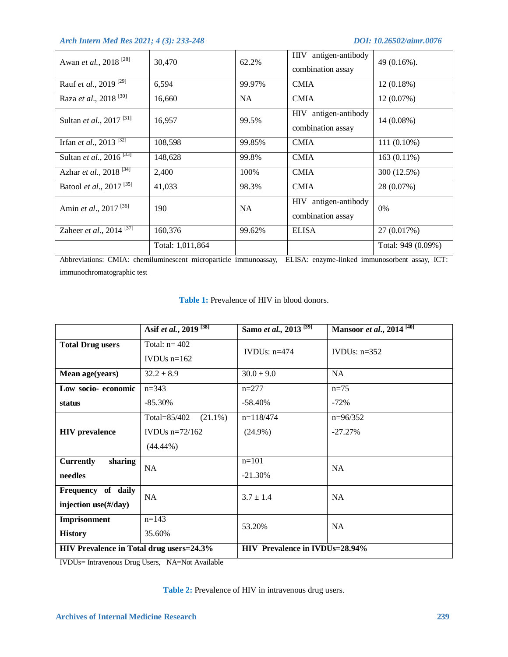| Awan et al., 2018 <sup>[28]</sup>                | 30,470           | 62.2%     | HIV antigen-antibody<br>combination assay           | $49(0.16\%).$      |
|--------------------------------------------------|------------------|-----------|-----------------------------------------------------|--------------------|
| Rauf et al., $2019^{129}$                        | 6,594            | 99.97%    | <b>CMIA</b>                                         | $12(0.18\%)$       |
| Raza et al., 2018 <sup>[30]</sup>                | 16,660           | NA.       | <b>CMIA</b>                                         | $12(0.07\%)$       |
| Sultan et al., 2017 <sup>[31]</sup>              | 16,957           | 99.5%     | HIV antigen-antibody<br>combination assay           | 14 (0.08%)         |
| Irfan et al., $2013^{321}$                       | 108,598          | 99.85%    | <b>CMIA</b>                                         | 111 (0.10%)        |
| Sultan <i>et al.</i> , $2016^{[33]}$             | 148,628          | 99.8%     | <b>CMIA</b>                                         | 163 (0.11%)        |
| Azhar et al., $2018^{134}$                       | 2,400            | 100%      | <b>CMIA</b>                                         | 300 (12.5%)        |
| Batool et al., 2017 <sup>[35]</sup>              | 41,033           | 98.3%     | <b>CMIA</b>                                         | 28 (0.07%)         |
| Amin et al., 2017 <sup>[36]</sup>                | 190              | <b>NA</b> | antigen-antibody<br><b>HIV</b><br>combination assay | $0\%$              |
| Zaheer et al., $\overline{2014}$ <sup>[37]</sup> | 160,376          | 99.62%    | <b>ELISA</b>                                        | 27 (0.017%)        |
|                                                  | Total: 1,011,864 |           |                                                     | Total: 949 (0.09%) |

Abbreviations: CMIA: chemiluminescent microparticle immunoassay, ELISA: enzyme-linked immunosorbent assay, ICT: immunochromatographic test

|                                          | Asif et al., 2019 <sup>[38]</sup> | Samo et al., 2013 <sup>[39]</sup>     | Mansoor et al., 2014 <sup>[40]</sup> |  |
|------------------------------------------|-----------------------------------|---------------------------------------|--------------------------------------|--|
| <b>Total Drug users</b>                  | Total: $n = 402$<br>IVDUs $n=162$ | IVDUs: $n=474$                        | IVDUs: $n=352$                       |  |
| Mean age(years)                          | $32.2 \pm 8.9$                    | $30.0 \pm 9.0$                        | <b>NA</b>                            |  |
| Low socio-economic                       | $n=343$                           | $n=277$                               | $n=75$                               |  |
| status                                   | $-85.30\%$                        | $-58.40\%$                            | $-72%$                               |  |
|                                          | $(21.1\%)$<br>Total=85/402        | $n=118/474$                           | $n=96/352$                           |  |
| <b>HIV</b> prevalence                    | IVDUs $n=72/162$                  | $(24.9\%)$                            | $-27.27\%$                           |  |
|                                          | $(44.44\%)$                       |                                       |                                      |  |
| <b>Currently</b><br>sharing              | <b>NA</b>                         | $n=101$                               | <b>NA</b>                            |  |
| needles                                  |                                   | $-21.30%$                             |                                      |  |
| Frequency of daily                       | NA                                | $3.7 \pm 1.4$                         | <b>NA</b>                            |  |
| injection use $(\text{\#}/day)$          |                                   |                                       |                                      |  |
| Imprisonment                             | $n=143$                           | 53.20%                                | <b>NA</b>                            |  |
| <b>History</b>                           | 35.60%                            |                                       |                                      |  |
| HIV Prevalence in Total drug users=24.3% |                                   | <b>HIV Prevalence in IVDUs=28.94%</b> |                                      |  |

# **Table 1:** Prevalence of HIV in blood donors.

IVDUs= Intravenous Drug Users, NA=Not Available

# **Table 2:** Prevalence of HIV in intravenous drug users.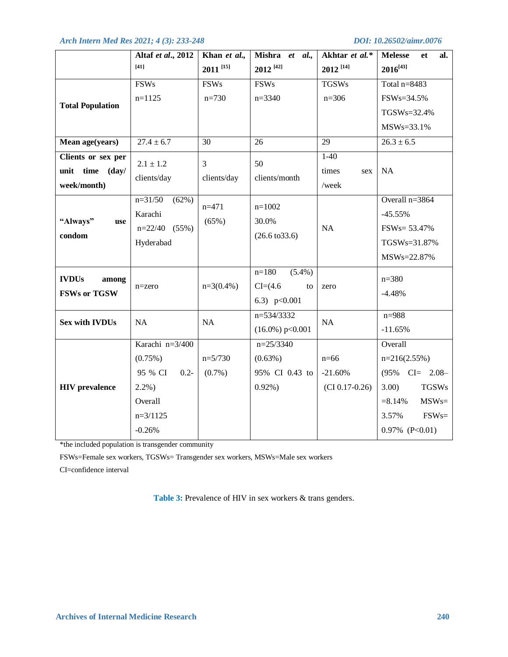|                         | Altaf et al., 2012 | Khan et al.,           | Mishra et al.,            | Akhtar et al.*         | <b>Melesse</b><br>et<br>al. |
|-------------------------|--------------------|------------------------|---------------------------|------------------------|-----------------------------|
|                         | $[41]$             | $2011$ <sup>[15]</sup> | $2012^{[42]}$             | $2012$ <sup>[14]</sup> | $2016^{[43]}$               |
|                         | <b>FSWs</b>        | <b>FSWs</b>            | <b>FSWs</b>               | <b>TGSWs</b>           | Total $n=8483$              |
|                         | $n=1125$           | $n=730$                | $n=3340$                  | $n = 306$              | FSWs=34.5%                  |
| <b>Total Population</b> |                    |                        |                           |                        | TGSWs=32.4%                 |
|                         |                    |                        |                           |                        | $MSWs = 33.1%$              |
| Mean age(years)         | $27.4 \pm 6.7$     | 30                     | 26                        | $\overline{29}$        | $\overline{26.3 \pm 6.5}$   |
| Clients or sex per      | $2.1 \pm 1.2$      | $\mathfrak{Z}$         | 50                        | $1-40$                 |                             |
| unit time<br>(day/      | clients/day        | clients/day            | clients/month             | times<br>sex           | NA                          |
| week/month)             |                    |                        |                           | /week                  |                             |
|                         | $n=31/50$<br>(62%) | $n=471$                | $n=1002$                  |                        | Overall $n=3864$            |
| "Always"<br>use         | Karachi            | (65%)                  | 30.0%                     |                        | $-45.55%$                   |
| condom                  | $n=22/40$ (55%)    |                        | $(26.6 \text{ to } 33.6)$ | NA                     | FSW <sub>s</sub> = 53.47%   |
|                         | Hyderabad          |                        |                           |                        | TGSWs=31.87%                |
|                         |                    |                        |                           |                        | MSWs=22.87%                 |
| <b>IVDUs</b><br>among   |                    |                        | $(5.4\%)$<br>$n=180$      |                        | $n = 380$                   |
| <b>FSWs or TGSW</b>     | $n = zero$         | $n=3(0.4\%)$           | $CI=(4.6)$<br>to          | zero                   | $-4.48%$                    |
|                         |                    |                        | 6.3) $p<0.001$            |                        |                             |
| <b>Sex with IVDUs</b>   | NA                 | NA                     | n=534/3332                | NA                     | $n = 988$                   |
|                         |                    |                        | $(16.0\%) p<0.001$        |                        | $-11.65%$                   |
|                         | Karachi n=3/400    |                        | $n=25/3340$               |                        | Overall                     |
|                         | (0.75%)            | $n=5/730$              | $(0.63\%)$                | $n=66$                 | $n=216(2.55%)$              |
|                         | 95 % CI<br>$0.2 -$ | $(0.7\%)$              | 95% CI 0.43 to            | $-21.60%$              | $(95\% \text{ CI} = 2.08 -$ |
| <b>HIV</b> prevalence   | $2.2\%$ )          |                        | $0.92\%)$                 | $(CI\ 0.17-0.26)$      | 3.00<br><b>TGSWs</b>        |
|                         | Overall            |                        |                           |                        | $MSWs=$<br>$= 8.14\%$       |
|                         | $n=3/1125$         |                        |                           |                        | $FSWs =$<br>3.57%           |
|                         | $-0.26%$           |                        |                           |                        | $0.97\%$ (P<0.01)           |

\*the included population is transgender community

FSWs=Female sex workers, TGSWs= Transgender sex workers, MSWs=Male sex workers

CI=confidence interval

**Table 3:** Prevalence of HIV in sex workers & trans genders.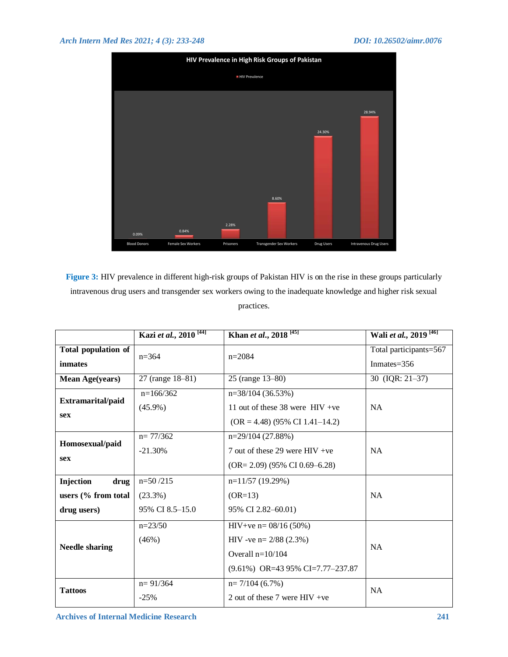

**Figure 3:** HIV prevalence in different high-risk groups of Pakistan HIV is on the rise in these groups particularly intravenous drug users and transgender sex workers owing to the inadequate knowledge and higher risk sexual practices.

|                                   | Kazi et al., 2010 <sup>[44]</sup> | Khan et al., 2018 <sup>[45]</sup>   | Wali et al., 2019 <sup>[46]</sup> |  |
|-----------------------------------|-----------------------------------|-------------------------------------|-----------------------------------|--|
| <b>Total population of</b>        | $n=364$                           | $n=2084$                            | Total participants=567            |  |
| inmates                           |                                   |                                     | Inmates= $356$                    |  |
| <b>Mean Age(years)</b>            | 27 (range 18-81)                  | 25 (range 13-80)                    | 30 (IQR: 21-37)                   |  |
| Extramarital/paid                 | $n=166/362$                       | $n=38/104(36.53%)$                  |                                   |  |
|                                   | $(45.9\%)$                        | 11 out of these 38 were $HIV +ve$   | <b>NA</b>                         |  |
| <b>sex</b>                        |                                   | $(OR = 4.48)$ (95% CI 1.41-14.2)    |                                   |  |
| Homosexual/paid                   | $n = 77/362$                      | $n=29/104(27.88%)$                  |                                   |  |
|                                   | $-21.30%$                         | 7 out of these 29 were $HIV +ve$    | <b>NA</b>                         |  |
| <b>sex</b>                        |                                   | $(OR = 2.09)$ (95% CI 0.69-6.28)    |                                   |  |
| Injection<br>drug                 | $n=50/215$                        | $n=11/57(19.29%)$                   |                                   |  |
| users (% from total<br>$(23.3\%)$ |                                   | $(OR=13)$                           | <b>NA</b>                         |  |
| drug users)                       | 95% CI 8.5-15.0                   | 95% CI 2.82–60.01)                  |                                   |  |
|                                   | $n=23/50$                         | $HIV+ve$ n= 08/16 (50%)             |                                   |  |
| <b>Needle sharing</b>             | $(46\%)$                          | HIV -ve n = $2/88$ (2.3%)           | <b>NA</b>                         |  |
|                                   |                                   | Overall $n=10/104$                  |                                   |  |
|                                   |                                   | $(9.61\%)$ OR=43 95% CI=7.77-237.87 |                                   |  |
| <b>Tattoos</b>                    | $n = 91/364$                      | $n=7/104(6.7%)$<br><b>NA</b>        |                                   |  |
|                                   | $-25%$                            | 2 out of these 7 were $HIV +ve$     |                                   |  |

 **Archives of Internal Medicine Research 241**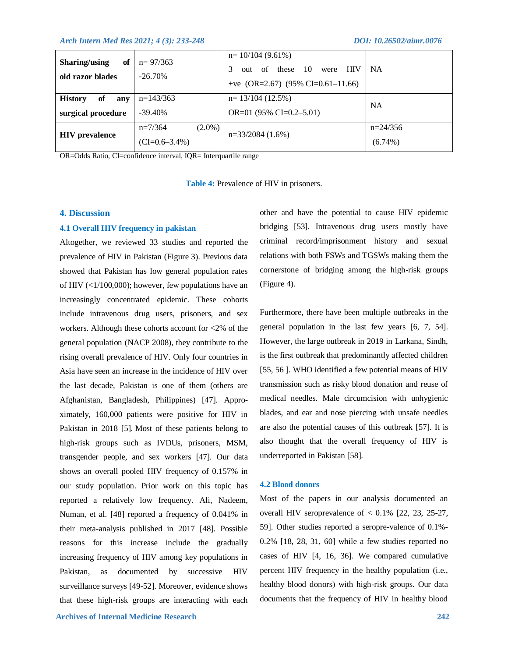| Sharing/using<br>of<br>old razor blades           | $n = 97/363$<br>$-26.70\%$                 | $n=10/104(9.61\%)$<br>of these<br>- 10<br><b>HIV</b><br>were<br>out<br>+ve (OR=2.67) (95% CI=0.61-11.66) | <b>NA</b>                |
|---------------------------------------------------|--------------------------------------------|----------------------------------------------------------------------------------------------------------|--------------------------|
| <b>History</b><br>of<br>anv<br>surgical procedure | $n=143/363$<br>$-39.40\%$                  | $n=13/104(12.5%)$<br>OR=01 $(95\%$ CI=0.2–5.01)                                                          | <b>NA</b>                |
| <b>HIV</b> prevalence                             | $n=7/364$<br>$(2.0\%)$<br>$(CI=0.6-3.4\%)$ | $n=33/2084(1.6%)$                                                                                        | $n=24/356$<br>$(6.74\%)$ |

OR=Odds Ratio, CI=confidence interval, IQR= Interquartile range

**Table 4:** Prevalence of HIV in prisoners.

# **4. Discussion**

# **4.1 Overall HIV frequency in pakistan**

Altogether, we reviewed 33 studies and reported the prevalence of HIV in Pakistan (Figure 3). Previous data showed that Pakistan has low general population rates of HIV  $(\langle 1/100,000 \rangle)$ ; however, few populations have an increasingly concentrated epidemic. These cohorts include intravenous drug users, prisoners, and sex workers. Although these cohorts account for <2% of the general population (NACP 2008), they contribute to the rising overall prevalence of HIV. Only four countries in Asia have seen an increase in the incidence of HIV over the last decade, Pakistan is one of them (others are Afghanistan, Bangladesh, Philippines) [47]. Approximately, 160,000 patients were positive for HIV in Pakistan in 2018 [5]. Most of these patients belong to high-risk groups such as IVDUs, prisoners, MSM, transgender people, and sex workers [47]. Our data shows an overall pooled HIV frequency of 0.157% in our study population. Prior work on this topic has reported a relatively low frequency. Ali, Nadeem, Numan, et al. [48] reported a frequency of 0.041% in their meta-analysis published in 2017 [48]. Possible reasons for this increase include the gradually increasing frequency of HIV among key populations in Pakistan, as documented by successive HIV surveillance surveys [49-52]. Moreover, evidence shows that these high-risk groups are interacting with each other and have the potential to cause HIV epidemic bridging [53]. Intravenous drug users mostly have criminal record/imprisonment history and sexual relations with both FSWs and TGSWs making them the cornerstone of bridging among the high-risk groups (Figure 4).

Furthermore, there have been multiple outbreaks in the general population in the last few years [6, 7, 54]. However, the large outbreak in 2019 in Larkana, Sindh, is the first outbreak that predominantly affected children [55, 56 ]. WHO identified a few potential means of HIV transmission such as risky blood donation and reuse of medical needles. Male circumcision with unhygienic blades, and ear and nose piercing with unsafe needles are also the potential causes of this outbreak [57]. It is also thought that the overall frequency of HIV is underreported in Pakistan [58].

# **4.2 Blood donors**

Most of the papers in our analysis documented an overall HIV seroprevalence of  $< 0.1\%$  [22, 23, 25-27, 59]. Other studies reported a seropre-valence of 0.1%- 0.2% [18, 28, 31, 60] while a few studies reported no cases of HIV [4, 16, 36]. We compared cumulative percent HIV frequency in the healthy population (i.e., healthy blood donors) with high-risk groups. Our data documents that the frequency of HIV in healthy blood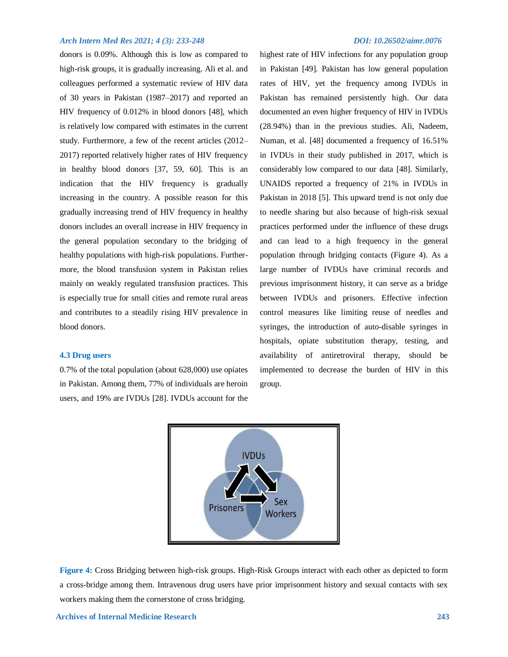donors is 0.09%. Although this is low as compared to high-risk groups, it is gradually increasing. Ali et al. and colleagues performed a systematic review of HIV data of 30 years in Pakistan (1987–2017) and reported an HIV frequency of 0.012% in blood donors [48], which is relatively low compared with estimates in the current study. Furthermore, a few of the recent articles (2012– 2017) reported relatively higher rates of HIV frequency in healthy blood donors [37, 59, 60]. This is an indication that the HIV frequency is gradually increasing in the country. A possible reason for this gradually increasing trend of HIV frequency in healthy donors includes an overall increase in HIV frequency in the general population secondary to the bridging of healthy populations with high-risk populations. Furthermore, the blood transfusion system in Pakistan relies mainly on weakly regulated transfusion practices. This is especially true for small cities and remote rural areas and contributes to a steadily rising HIV prevalence in blood donors.

# **4.3 Drug users**

0.7% of the total population (about 628,000) use opiates in Pakistan. Among them, 77% of individuals are heroin users, and 19% are IVDUs [28]. IVDUs account for the

highest rate of HIV infections for any population group in Pakistan [49]. Pakistan has low general population rates of HIV, yet the frequency among IVDUs in Pakistan has remained persistently high. Our data documented an even higher frequency of HIV in IVDUs (28.94%) than in the previous studies. Ali, Nadeem, Numan, et al. [48] documented a frequency of 16.51% in IVDUs in their study published in 2017, which is considerably low compared to our data [48]. Similarly, UNAIDS reported a frequency of 21% in IVDUs in Pakistan in 2018 [5]. This upward trend is not only due to needle sharing but also because of high-risk sexual practices performed under the influence of these drugs and can lead to a high frequency in the general population through bridging contacts (Figure 4). As a large number of IVDUs have criminal records and previous imprisonment history, it can serve as a bridge between IVDUs and prisoners. Effective infection control measures like limiting reuse of needles and syringes, the introduction of auto-disable syringes in hospitals, opiate substitution therapy, testing, and availability of antiretroviral therapy, should be implemented to decrease the burden of HIV in this group.



**Figure 4:** Cross Bridging between high-risk groups. High-Risk Groups interact with each other as depicted to form a cross-bridge among them. Intravenous drug users have prior imprisonment history and sexual contacts with sex workers making them the cornerstone of cross bridging.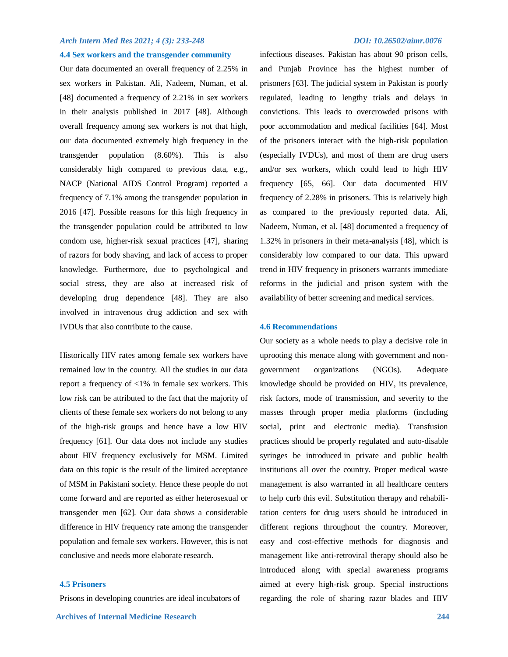# **4.4 Sex workers and the transgender community**

Our data documented an overall frequency of 2.25% in sex workers in Pakistan. Ali, Nadeem, Numan, et al. [48] documented a frequency of 2.21% in sex workers in their analysis published in 2017 [48]. Although overall frequency among sex workers is not that high, our data documented extremely high frequency in the transgender population (8.60%). This is also considerably high compared to previous data, e.g., NACP (National AIDS Control Program) reported a frequency of 7.1% among the transgender population in 2016 [47]. Possible reasons for this high frequency in the transgender population could be attributed to low condom use, higher-risk sexual practices [47], sharing of razors for body shaving, and lack of access to proper knowledge. Furthermore, due to psychological and social stress, they are also at increased risk of developing drug dependence [48]. They are also involved in intravenous drug addiction and sex with IVDUs that also contribute to the cause.

Historically HIV rates among female sex workers have remained low in the country. All the studies in our data report a frequency of <1% in female sex workers. This low risk can be attributed to the fact that the majority of clients of these female sex workers do not belong to any of the high-risk groups and hence have a low HIV frequency [61]. Our data does not include any studies about HIV frequency exclusively for MSM. Limited data on this topic is the result of the limited acceptance of MSM in Pakistani society. Hence these people do not come forward and are reported as either heterosexual or transgender men [62]. Our data shows a considerable difference in HIV frequency rate among the transgender population and female sex workers. However, this is not conclusive and needs more elaborate research.

### **4.5 Prisoners**

Prisons in developing countries are ideal incubators of

infectious diseases. Pakistan has about 90 prison cells, and Punjab Province has the highest number of prisoners [63]. The judicial system in Pakistan is poorly regulated, leading to lengthy trials and delays in convictions. This leads to overcrowded prisons with poor accommodation and medical facilities [64]. Most of the prisoners interact with the high-risk population (especially IVDUs), and most of them are drug users and/or sex workers, which could lead to high HIV frequency [65, 66]. Our data documented HIV frequency of 2.28% in prisoners. This is relatively high as compared to the previously reported data. Ali, Nadeem, Numan, et al. [48] documented a frequency of 1.32% in prisoners in their meta-analysis [48], which is considerably low compared to our data. This upward trend in HIV frequency in prisoners warrants immediate reforms in the judicial and prison system with the availability of better screening and medical services.

### **4.6 Recommendations**

Our society as a whole needs to play a decisive role in uprooting this menace along with government and nongovernment organizations (NGOs). Adequate knowledge should be provided on HIV, its prevalence, risk factors, mode of transmission, and severity to the masses through proper media platforms (including social, print and electronic media). Transfusion practices should be properly regulated and auto-disable syringes be introduced in private and public health institutions all over the country. Proper medical waste management is also warranted in all healthcare centers to help curb this evil. Substitution therapy and rehabilitation centers for drug users should be introduced in different regions throughout the country. Moreover, easy and cost-effective methods for diagnosis and management like anti-retroviral therapy should also be introduced along with special awareness programs aimed at every high-risk group. Special instructions regarding the role of sharing razor blades and HIV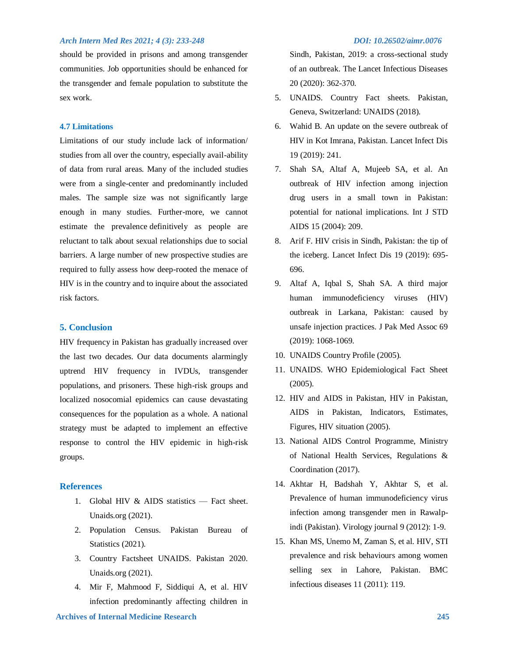should be provided in prisons and among transgender communities. Job opportunities should be enhanced for the transgender and female population to substitute the sex work.

# **4.7 Limitations**

Limitations of our study include lack of information/ studies from all over the country, especially avail-ability of data from rural areas. Many of the included studies were from a single-center and predominantly included males. The sample size was not significantly large enough in many studies. Further-more, we cannot estimate the prevalence definitively as people are reluctant to talk about sexual relationships due to social barriers. A large number of new prospective studies are required to fully assess how deep-rooted the menace of HIV is in the country and to inquire about the associated risk factors.

# **5. Conclusion**

HIV frequency in Pakistan has gradually increased over the last two decades. Our data documents alarmingly uptrend HIV frequency in IVDUs, transgender populations, and prisoners. These high-risk groups and localized nosocomial epidemics can cause devastating consequences for the population as a whole. A national strategy must be adapted to implement an effective response to control the HIV epidemic in high-risk groups.

### **References**

- 1. Global HIV & AIDS statistics Fact sheet. Unaids.org (2021).
- 2. Population Census. Pakistan Bureau of Statistics (2021).
- 3. Country Factsheet UNAIDS. Pakistan 2020. Unaids.org (2021).
- 4. Mir F, Mahmood F, Siddiqui A, et al. HIV infection predominantly affecting children in

Sindh, Pakistan, 2019: a cross-sectional study of an outbreak. The Lancet Infectious Diseases 20 (2020): 362-370.

- 5. UNAIDS. Country Fact sheets. Pakistan, Geneva, Switzerland: UNAIDS (2018).
- 6. Wahid B. An update on the severe outbreak of HIV in Kot Imrana, Pakistan. Lancet Infect Dis 19 (2019): 241.
- 7. Shah SA, Altaf A, Mujeeb SA, et al. An outbreak of HIV infection among injection drug users in a small town in Pakistan: potential for national implications. Int J STD AIDS 15 (2004): 209.
- 8. Arif F. HIV crisis in Sindh, Pakistan: the tip of the iceberg. Lancet Infect Dis 19 (2019): 695- 696.
- 9. Altaf A, Iqbal S, Shah SA. A third major human immunodeficiency viruses (HIV) outbreak in Larkana, Pakistan: caused by unsafe injection practices. J Pak Med Assoc 69 (2019): 1068-1069.
- 10. UNAIDS Country Profile (2005).
- 11. UNAIDS. WHO Epidemiological Fact Sheet (2005).
- 12. HIV and AIDS in Pakistan, HIV in Pakistan, AIDS in Pakistan, Indicators, Estimates, Figures, HIV situation (2005).
- 13. National AIDS Control Programme, Ministry of National Health Services, Regulations & Coordination (2017).
- 14. Akhtar H, Badshah Y, Akhtar S, et al. Prevalence of human immunodeficiency virus infection among transgender men in Rawalpindi (Pakistan). Virology journal 9 (2012): 1-9.
- 15. Khan MS, Unemo M, Zaman S, et al. HIV, STI prevalence and risk behaviours among women selling sex in Lahore, Pakistan. BMC infectious diseases 11 (2011): 119.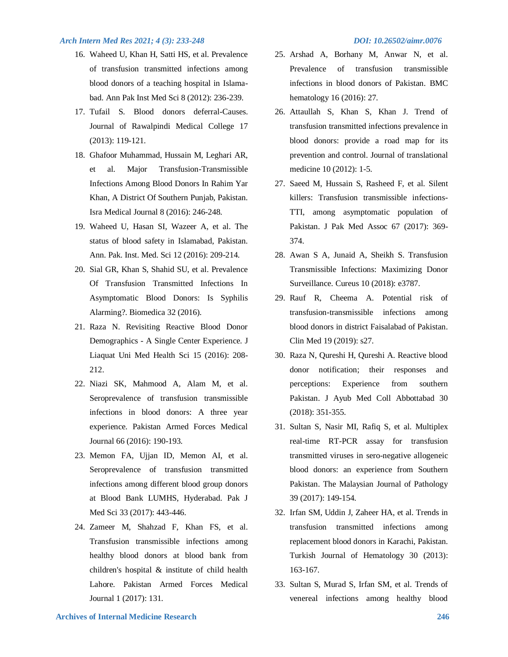- 16. Waheed U, Khan H, Satti HS, et al. Prevalence of transfusion transmitted infections among blood donors of a teaching hospital in Islamabad. Ann Pak Inst Med Sci 8 (2012): 236-239.
- 17. Tufail S. Blood donors deferral-Causes. Journal of Rawalpindi Medical College 17 (2013): 119-121.
- 18. Ghafoor Muhammad, Hussain M, Leghari AR, et al. Major Transfusion-Transmissible Infections Among Blood Donors In Rahim Yar Khan, A District Of Southern Punjab, Pakistan. Isra Medical Journal 8 (2016): 246-248.
- 19. Waheed U, Hasan SI, Wazeer A, et al. The status of blood safety in Islamabad, Pakistan. Ann. Pak. Inst. Med. Sci 12 (2016): 209-214.
- 20. Sial GR, Khan S, Shahid SU, et al. Prevalence Of Transfusion Transmitted Infections In Asymptomatic Blood Donors: Is Syphilis Alarming?. Biomedica 32 (2016).
- 21. Raza N. Revisiting Reactive Blood Donor Demographics - A Single Center Experience. J Liaquat Uni Med Health Sci 15 (2016): 208- 212.
- 22. Niazi SK, Mahmood A, Alam M, et al. Seroprevalence of transfusion transmissible infections in blood donors: A three year experience. Pakistan Armed Forces Medical Journal 66 (2016): 190-193.
- 23. Memon FA, Ujjan ID, Memon AI, et al. Seroprevalence of transfusion transmitted infections among different blood group donors at Blood Bank LUMHS, Hyderabad. Pak J Med Sci 33 (2017): 443-446.
- 24. Zameer M, Shahzad F, Khan FS, et al. Transfusion transmissible infections among healthy blood donors at blood bank from children's hospital & institute of child health Lahore. Pakistan Armed Forces Medical Journal 1 (2017): 131.

- 25. Arshad A, Borhany M, Anwar N, et al. Prevalence of transfusion transmissible infections in blood donors of Pakistan. BMC hematology 16 (2016): 27.
- 26. Attaullah S, Khan S, Khan J. Trend of transfusion transmitted infections prevalence in blood donors: provide a road map for its prevention and control. Journal of translational medicine 10 (2012): 1-5.
- 27. Saeed M, Hussain S, Rasheed F, et al. Silent killers: Transfusion transmissible infections-TTI, among asymptomatic population of Pakistan. J Pak Med Assoc 67 (2017): 369- 374.
- 28. Awan S A, Junaid A, Sheikh S. Transfusion Transmissible Infections: Maximizing Donor Surveillance. Cureus 10 (2018): e3787.
- 29. Rauf R, Cheema A. Potential risk of transfusion-transmissible infections among blood donors in district Faisalabad of Pakistan. Clin Med 19 (2019): s27.
- 30. Raza N, Qureshi H, Qureshi A. Reactive blood donor notification; their responses and perceptions: Experience from southern Pakistan. J Ayub Med Coll Abbottabad 30 (2018): 351-355.
- 31. Sultan S, Nasir MI, Rafiq S, et al. Multiplex real-time RT-PCR assay for transfusion transmitted viruses in sero-negative allogeneic blood donors: an experience from Southern Pakistan. The Malaysian Journal of Pathology 39 (2017): 149-154.
- 32. Irfan SM, Uddin J, Zaheer HA, et al. Trends in transfusion transmitted infections among replacement blood donors in Karachi, Pakistan. Turkish Journal of Hematology 30 (2013): 163-167.
- 33. Sultan S, Murad S, Irfan SM, et al. Trends of venereal infections among healthy blood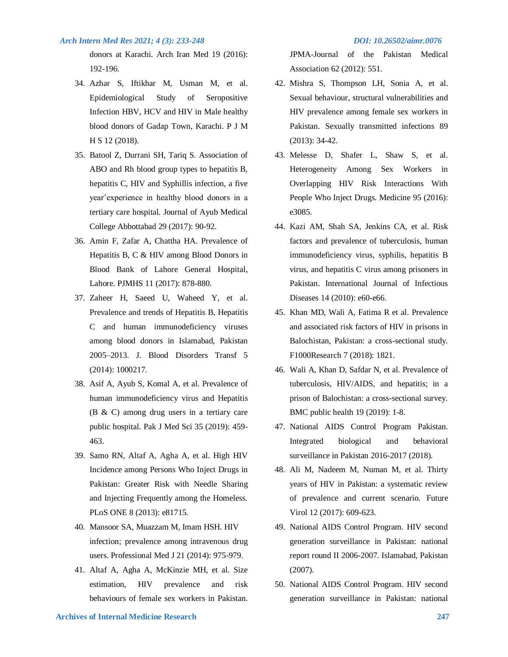donors at Karachi. Arch Iran Med 19 (2016): 192-196.

- 34. Azhar S, Iftikhar M, Usman M, et al. Epidemiological Study of Seropositive Infection HBV, HCV and HIV in Male healthy blood donors of Gadap Town, Karachi. P J M H S 12 (2018).
- 35. Batool Z, Durrani SH, Tariq S. Association of ABO and Rh blood group types to hepatitis B, hepatitis C, HIV and Syphillis infection, a five year'experience in healthy blood donors in a tertiary care hospital. Journal of Ayub Medical College Abbottabad 29 (2017): 90-92.
- 36. Amin F, Zafar A, Chattha HA. Prevalence of Hepatitis B, C & HIV among Blood Donors in Blood Bank of Lahore General Hospital, Lahore. PJMHS 11 (2017): 878-880.
- 37. Zaheer H, Saeed U, Waheed Y, et al. Prevalence and trends of Hepatitis B, Hepatitis C and human immunodeficiency viruses among blood donors in Islamabad, Pakistan 2005–2013. J. Blood Disorders Transf 5 (2014): 1000217.
- 38. Asif A, Ayub S, Komal A, et al. Prevalence of human immunodeficiency virus and Hepatitis (B & C) among drug users in a tertiary care public hospital. Pak J Med Sci 35 (2019): 459- 463.
- 39. Samo RN, Altaf A, Agha A, et al. High HIV Incidence among Persons Who Inject Drugs in Pakistan: Greater Risk with Needle Sharing and Injecting Frequently among the Homeless. PLoS ONE 8 (2013): e81715.
- 40. Mansoor SA, Muazzam M, Imam HSH. HIV infection; prevalence among intravenous drug users. Professional Med J 21 (2014): 975-979.
- 41. Altaf A, Agha A, McKinzie MH, et al. Size estimation, HIV prevalence and risk behaviours of female sex workers in Pakistan.

JPMA-Journal of the Pakistan Medical Association 62 (2012): 551.

- 42. Mishra S, Thompson LH, Sonia A, et al. Sexual behaviour, structural vulnerabilities and HIV prevalence among female sex workers in Pakistan. Sexually transmitted infections 89 (2013): 34-42.
- 43. Melesse D, Shafer L, Shaw S, et al. Heterogeneity Among Sex Workers in Overlapping HIV Risk Interactions With People Who Inject Drugs. Medicine 95 (2016): e3085.
- 44. Kazi AM, Shah SA, Jenkins CA, et al. Risk factors and prevalence of tuberculosis, human immunodeficiency virus, syphilis, hepatitis B virus, and hepatitis C virus among prisoners in Pakistan. International Journal of Infectious Diseases 14 (2010): e60-e66.
- 45. Khan MD, Wali A, Fatima R et al. Prevalence and associated risk factors of HIV in prisons in Balochistan, Pakistan: a cross-sectional study. F1000Research 7 (2018): 1821.
- 46. Wali A, Khan D, Safdar N, et al. Prevalence of tuberculosis, HIV/AIDS, and hepatitis; in a prison of Balochistan: a cross-sectional survey. BMC public health 19 (2019): 1-8.
- 47. National AIDS Control Program Pakistan. Integrated biological and behavioral surveillance in Pakistan 2016-2017 (2018).
- 48. Ali M, Nadeem M, Numan M, et al. Thirty years of HIV in Pakistan: a systematic review of prevalence and current scenario. Future Virol 12 (2017): 609-623.
- 49. National AIDS Control Program. HIV second generation surveillance in Pakistan: national report round II 2006-2007. Islamabad, Pakistan (2007).
- 50. National AIDS Control Program. HIV second generation surveillance in Pakistan: national